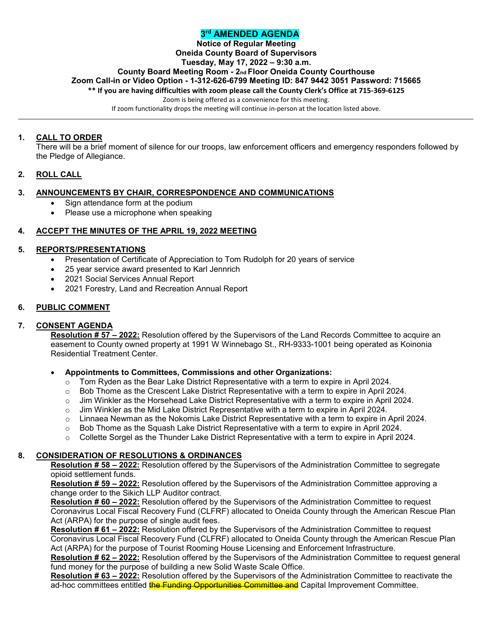# **3rd AMENDED AGENDA**

# **Notice of Regular Meeting**

**Oneida County Board of Supervisors**

# **Tuesday, May 17, 2022 – 9:30 a.m.**

**County Board Meeting Room - 2nd Floor Oneida County Courthouse**

**Zoom Call-in or Video Option - 1-312-626-6799 Meeting ID: 847 9442 3051 Password: 715665**

**\*\* If you are having difficulties with zoom please call the County Clerk's Office at 715-369-6125**

Zoom is being offered as a convenience for this meeting.

If zoom functionality drops the meeting will continue in-person at the location listed above.

# **1. CALL TO ORDER**

There will be a brief moment of silence for our troops, law enforcement officers and emergency responders followed by the Pledge of Allegiance.

# **2. ROLL CALL**

# **3. ANNOUNCEMENTS BY CHAIR, CORRESPONDENCE AND COMMUNICATIONS**

- Sign attendance form at the podium
- Please use a microphone when speaking

# **4. ACCEPT THE MINUTES OF THE APRIL 19, 2022 MEETING**

## **5. REPORTS/PRESENTATIONS**

- Presentation of Certificate of Appreciation to Tom Rudolph for 20 years of service
- 25 year service award presented to Karl Jennrich
- 2021 Social Services Annual Report
- 2021 Forestry, Land and Recreation Annual Report

# **6. PUBLIC COMMENT**

# **7. CONSENT AGENDA**

**Resolution # 57 – 2022:** Resolution offered by the Supervisors of the Land Records Committee to acquire an easement to County owned property at 1991 W Winnebago St., RH-9333-1001 being operated as Koinonia Residential Treatment Center.

### • **Appointments to Committees, Commissions and other Organizations:**

- $\circ$  Tom Ryden as the Bear Lake District Representative with a term to expire in April 2024.
- $\circ$  Bob Thome as the Crescent Lake District Representative with a term to expire in April 2024.
- 
- o Jim Winkler as the Horsehead Lake District Representative with a term to expire in April 2024.<br>
o Jim Winkler as the Mid Lake District Representative with a term to expire in April 2024.
- $\circ$  Jim Winkler as the Mid Lake District Representative with a term to expire in April 2024.<br> $\circ$  Linnaea Newman as the Nokomis Lake District Representative with a term to expire in Linnaea Newman as the Nokomis Lake District Representative with a term to expire in April 2024.
- $\circ$  Bob Thome as the Squash Lake District Representative with a term to expire in April 2024.
- $\circ$  Collette Sorgel as the Thunder Lake District Representative with a term to expire in April 2024.

# **8. CONSIDERATION OF RESOLUTIONS & ORDINANCES**

**Resolution # 58 – 2022:** Resolution offered by the Supervisors of the Administration Committee to segregate opioid settlement funds.

**Resolution # 59 – 2022:** Resolution offered by the Supervisors of the Administration Committee approving a change order to the Sikich LLP Auditor contract.

**Resolution # 60 – 2022:** Resolution offered by the Supervisors of the Administration Committee to request Coronavirus Local Fiscal Recovery Fund (CLFRF) allocated to Oneida County through the American Rescue Plan Act (ARPA) for the purpose of single audit fees.

**Resolution # 61 – 2022:** Resolution offered by the Supervisors of the Administration Committee to request Coronavirus Local Fiscal Recovery Fund (CLFRF) allocated to Oneida County through the American Rescue Plan Act (ARPA) for the purpose of Tourist Rooming House Licensing and Enforcement Infrastructure.

**Resolution # 62 – 2022:** Resolution offered by the Supervisors of the Administration Committee to request general fund money for the purpose of building a new Solid Waste Scale Office.

**Resolution # 63 – 2022:** Resolution offered by the Supervisors of the Administration Committee to reactivate the ad-hoc committees entitled the Funding Opportunities Committee and Capital Improvement Committee.